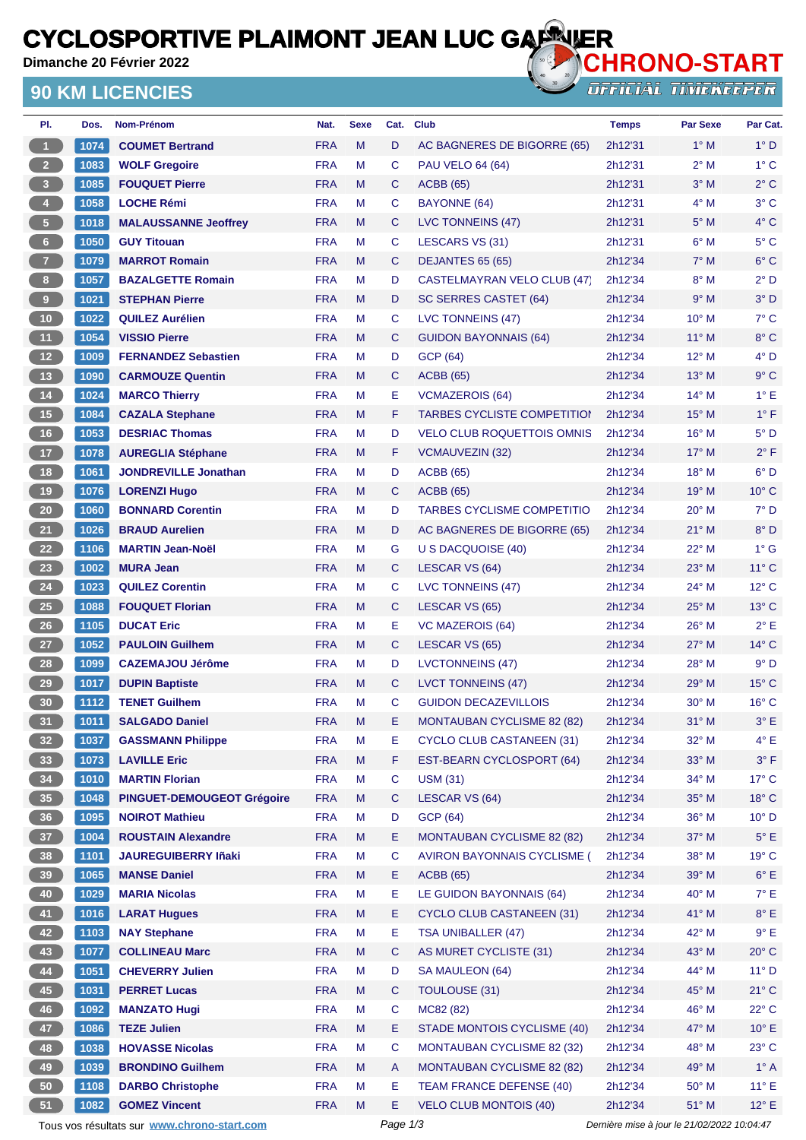# **CYCLOSPORTIVE PLAIMONT JEAN LUC GARRIER**<br>Dimanche 20 Février 2022

**Dimanche 20 Février 2022**

#### **90 KM LICENCIES**



OFFICIAL TINIEKEEPER

| 1074<br>$\blacktriangleleft$<br><b>COUMET Bertrand</b><br><b>FRA</b><br>M<br>D<br>$1^\circ$ M<br>AC BAGNERES DE BIGORRE (65)<br>2h12'31<br>$\overline{2}$<br>1083<br><b>FRA</b><br>M<br>C<br>2h12'31<br>$2^{\circ}$ M<br><b>WOLF Gregoire</b><br><b>PAU VELO 64 (64)</b><br>$\overline{3}$<br>1085<br><b>FRA</b><br>M<br>$3°$ M<br><b>FOUQUET Pierre</b><br><b>ACBB</b> (65)<br>2h12'31<br>C<br>$\overline{\mathbf{4}}$<br><b>FRA</b><br>$4^\circ$ M<br>М<br>C<br>BAYONNE (64)<br>2h12'31<br>1058<br><b>LOCHE Rémi</b><br>$\sqrt{5}$<br><b>FRA</b><br>M<br>C<br>$5^\circ$ M<br>1018<br><b>MALAUSSANNE Jeoffrey</b><br>LVC TONNEINS (47)<br>2h12'31<br>$\bf 6$<br><b>FRA</b><br>$6^\circ$ M<br>1050<br><b>GUY Titouan</b><br>м<br>С<br>LESCARS VS (31)<br>2h12'31<br>$\overline{7}$<br>1079<br><b>FRA</b><br>$7^\circ$ M<br><b>MARROT Romain</b><br>M<br>C<br>DEJANTES 65 (65)<br>2h12'34<br>$8^\circ$ M<br>8 <sup>1</sup><br>1057<br><b>FRA</b><br><b>BAZALGETTE Romain</b><br>М<br>D<br><b>CASTELMAYRAN VELO CLUB (47)</b><br>2h12'34<br><b>FRA</b><br>9<br>M<br>2h12'34<br>9° M<br>1021<br><b>STEPHAN Pierre</b><br>D<br>SC SERRES CASTET (64)<br><b>FRA</b><br>10° M<br>10<br>М<br>С<br>LVC TONNEINS (47)<br>2h12'34<br>1022<br><b>QUILEZ Aurélien</b><br>11<br>1054<br><b>FRA</b><br>11° M<br><b>VISSIO Pierre</b><br>M<br>C<br>2h12'34<br><b>GUIDON BAYONNAIS (64)</b><br>12 <sup>2</sup><br><b>FRA</b><br><b>GCP (64)</b><br>12° M<br>1009<br><b>FERNANDEZ Sebastien</b><br>м<br>D<br>2h12'34<br>$13$<br><b>FRA</b><br>13° M<br>1090<br><b>CARMOUZE Quentin</b><br>M<br>C<br><b>ACBB</b> (65)<br>2h12'34<br>$14$<br><b>FRA</b><br>M<br>Е<br>2h12'34<br>$14^{\circ}$ M<br>1024<br><b>VCMAZEROIS (64)</b><br><b>MARCO Thierry</b><br>15<br>1084<br><b>FRA</b><br>M<br>F<br><b>TARBES CYCLISTE COMPETITION</b><br>2h12'34<br>$15^{\circ}$ M<br><b>CAZALA Stephane</b><br>16<br><b>DESRIAC Thomas</b><br><b>FRA</b><br>M<br>16° M<br>1053<br>D<br><b>VELO CLUB ROQUETTOIS OMNIS</b><br>2h12'34<br>17<br><b>FRA</b><br>1078<br><b>AUREGLIA Stéphane</b><br>M<br>F<br><b>VCMAUVEZIN (32)</b><br>2h12'34<br>$17^\circ$ M<br>18<br>1061<br><b>FRA</b><br><b>ACBB</b> (65)<br>18° M<br><b>JONDREVILLE Jonathan</b><br>м<br>D<br>2h12'34<br>$19$<br>1076<br><b>FRA</b><br>19° M<br><b>LORENZI Hugo</b><br>M<br>C<br><b>ACBB</b> (65)<br>2h12'34<br><b>FRA</b><br>M<br><b>TARBES CYCLISME COMPETITIO</b><br>20° M<br>20<br>2h12'34<br>1060<br><b>BONNARD Corentin</b><br>D<br>21<br><b>FRA</b><br>1026<br><b>BRAUD Aurelien</b><br>M<br>AC BAGNERES DE BIGORRE (65)<br>$21^{\circ}$ M<br>D<br>2h12'34<br>22<br><b>FRA</b><br>22° M<br>1106<br><b>MARTIN Jean-Noël</b><br>м<br>G<br>2h12'34<br>U S DACQUOISE (40)<br>23<br>$1002$<br><b>MURA Jean</b><br><b>FRA</b><br>M<br>C<br>LESCAR VS (64)<br>$23^\circ$ M<br>2h12'34<br>24<br>1023<br><b>FRA</b><br>C<br>2h12'34<br>24° M<br><b>QUILEZ Corentin</b><br>М<br>LVC TONNEINS (47)<br>25<br><b>FRA</b><br>M<br>25° M<br>1088<br>C<br>LESCAR VS (65)<br>2h12'34<br><b>FOUQUET Florian</b><br>26<br>1105<br><b>DUCAT Eric</b><br><b>FRA</b><br>М<br>Е<br><b>VC MAZEROIS (64)</b><br>$26^{\circ}$ M<br>2h12'34<br>27<br><b>FRA</b><br>M<br>C<br>27° M<br>1052<br><b>PAULOIN Guilhem</b><br>LESCAR VS (65)<br>2h12'34<br>28<br>1099<br><b>CAZEMAJOU Jérôme</b><br><b>FRA</b><br>м<br>D<br><b>LVCTONNEINS (47)</b><br>2h12'34<br>$28^{\circ}$ M<br>29<br>1017<br><b>FRA</b><br>29° M<br><b>DUPIN Baptiste</b><br>M<br>C<br><b>LVCT TONNEINS (47)</b><br>2h12'34<br>30<br>$30^\circ$ M<br>1112<br><b>FRA</b><br>М<br>С<br><b>GUIDON DECAZEVILLOIS</b><br>2h12'34<br><b>TENET Guilhem</b><br><b>FRA</b><br>Е<br>31<br>M<br><b>MONTAUBAN CYCLISME 82 (82)</b><br>$31^\circ$ M<br>1011<br><b>SALGADO Daniel</b><br>2h12'34<br>2h12'34<br>32° M<br>32 <sub>2</sub><br>1037<br><b>GASSMANN Philippe</b><br><b>FRA</b><br>M<br><b>CYCLO CLUB CASTANEEN (31)</b><br>Е<br>33<br>1073<br><b>LAVILLE Eric</b><br><b>FRA</b><br>M<br>F<br>EST-BEARN CYCLOSPORT (64)<br>2h12'34<br>33° M<br>34<br>$\mathbf C$<br>1010<br><b>MARTIN Florian</b><br><b>FRA</b><br><b>USM (31)</b><br>$34^\circ$ M<br>M<br>2h12'34<br>35 <sub>5</sub><br>PINGUET-DEMOUGEOT Grégoire<br><b>FRA</b><br>M<br>C<br>LESCAR VS (64)<br>2h12'34<br>35° M<br>1048<br>36<br><b>GCP (64)</b><br>36° M<br><b>NOIROT Mathieu</b><br><b>FRA</b><br>М<br>D<br>2h12'34<br>1095<br>37 <sup>°</sup><br>1004<br><b>ROUSTAIN Alexandre</b><br><b>FRA</b><br>Ε<br><b>MONTAUBAN CYCLISME 82 (82)</b><br>2h12'34<br>37° M<br>M<br>38<br>C<br>38° M<br>1101<br><b>JAUREGUIBERRY Iñaki</b><br><b>FRA</b><br>M<br>AVIRON BAYONNAIS CYCLISME (<br>2h12'34<br>39<br>1065<br><b>MANSE Daniel</b><br><b>FRA</b><br>M<br>E.<br><b>ACBB</b> (65)<br>2h12'34<br>39° M<br>40<br>40° M<br>1029<br><b>MARIA Nicolas</b><br><b>FRA</b><br>M<br>Ε<br>LE GUIDON BAYONNAIS (64)<br>2h12'34<br>41<br><b>FRA</b><br>M<br>Ε<br><b>CYCLO CLUB CASTANEEN (31)</b><br>2h12'34<br>41° M<br>1016<br><b>LARAT Hugues</b><br>42<br>Е<br>1103<br><b>NAY Stephane</b><br><b>FRA</b><br>М<br>TSA UNIBALLER (47)<br>2h12'34<br>42° M<br>43<br>1077<br><b>COLLINEAU Marc</b><br><b>FRA</b><br>M<br>C<br>AS MURET CYCLISTE (31)<br>43° M<br>2h12'34<br>44<br><b>CHEVERRY Julien</b><br>44° M<br>1051<br><b>FRA</b><br>M<br>D<br>SA MAULEON (64)<br>2h12'34<br>45<br>1031<br><b>PERRET Lucas</b><br><b>FRA</b><br>M<br><b>TOULOUSE (31)</b><br>45° M<br>C<br>2h12'34<br>46<br><b>FRA</b><br>М<br>C<br>MC82 (82)<br>2h12'34<br>46° M<br>1092<br><b>MANZATO Hugi</b><br>47<br><b>TEZE Julien</b><br><b>FRA</b><br>M<br>Е<br>STADE MONTOIS CYCLISME (40)<br>2h12'34<br>47° M<br>1086<br>48<br>1038<br><b>HOVASSE Nicolas</b><br><b>FRA</b><br>С<br><b>MONTAUBAN CYCLISME 82 (32)</b><br>2h12'34<br>48° M<br>M<br>49<br>49° M<br>1039<br><b>BRONDINO Guilhem</b><br><b>FRA</b><br>M<br><b>MONTAUBAN CYCLISME 82 (82)</b><br>2h12'34<br>A<br>50<br>1108<br><b>DARBO Christophe</b><br><b>FRA</b><br>М<br>Е<br>TEAM FRANCE DEFENSE (40)<br>2h12'34<br>$50^\circ$ M<br>51<br>Е<br>1082<br><b>FRA</b><br>M<br><b>VELO CLUB MONTOIS (40)</b><br>2h12'34<br>51° M<br><b>GOMEZ Vincent</b><br>Page 1/3<br>Dernière mise à jour le 21/02/2022 10:04:47 | PI. | Dos. | Nom-Prénom                                  | Nat. | <b>Sexe</b> | Cat. | <b>Club</b> | <b>Temps</b> | <b>Par Sexe</b> | Par Cat.       |
|------------------------------------------------------------------------------------------------------------------------------------------------------------------------------------------------------------------------------------------------------------------------------------------------------------------------------------------------------------------------------------------------------------------------------------------------------------------------------------------------------------------------------------------------------------------------------------------------------------------------------------------------------------------------------------------------------------------------------------------------------------------------------------------------------------------------------------------------------------------------------------------------------------------------------------------------------------------------------------------------------------------------------------------------------------------------------------------------------------------------------------------------------------------------------------------------------------------------------------------------------------------------------------------------------------------------------------------------------------------------------------------------------------------------------------------------------------------------------------------------------------------------------------------------------------------------------------------------------------------------------------------------------------------------------------------------------------------------------------------------------------------------------------------------------------------------------------------------------------------------------------------------------------------------------------------------------------------------------------------------------------------------------------------------------------------------------------------------------------------------------------------------------------------------------------------------------------------------------------------------------------------------------------------------------------------------------------------------------------------------------------------------------------------------------------------------------------------------------------------------------------------------------------------------------------------------------------------------------------------------------------------------------------------------------------------------------------------------------------------------------------------------------------------------------------------------------------------------------------------------------------------------------------------------------------------------------------------------------------------------------------------------------------------------------------------------------------------------------------------------------------------------------------------------------------------------------------------------------------------------------------------------------------------------------------------------------------------------------------------------------------------------------------------------------------------------------------------------------------------------------------------------------------------------------------------------------------------------------------------------------------------------------------------------------------------------------------------------------------------------------------------------------------------------------------------------------------------------------------------------------------------------------------------------------------------------------------------------------------------------------------------------------------------------------------------------------------------------------------------------------------------------------------------------------------------------------------------------------------------------------------------------------------------------------------------------------------------------------------------------------------------------------------------------------------------------------------------------------------------------------------------------------------------------------------------------------------------------------------------------------------------------------------------------------------------------------------------------------------------------------------------------------------------------------------------------------------------------------------------------------------------------------------------------------------------------------------------------------------------------------------------------------------------------------------------------------------------------------------------------------------------------------------------------------------------------------------------------------------------------------------------------------------------------------------------------------------------------------------------------------------------------------------------------------------------------------------------------------------------------------------------------------------------------------------------------------------------------------------------------------------------------------------------------------------------------------------------------------------------------------------------------------------------------------------------------------------------------------------------------------------------------------------------------------------------------------------------------------------------------------------------------------------------------------------------------------------------------------------------------------------------------------------------------------------------|-----|------|---------------------------------------------|------|-------------|------|-------------|--------------|-----------------|----------------|
|                                                                                                                                                                                                                                                                                                                                                                                                                                                                                                                                                                                                                                                                                                                                                                                                                                                                                                                                                                                                                                                                                                                                                                                                                                                                                                                                                                                                                                                                                                                                                                                                                                                                                                                                                                                                                                                                                                                                                                                                                                                                                                                                                                                                                                                                                                                                                                                                                                                                                                                                                                                                                                                                                                                                                                                                                                                                                                                                                                                                                                                                                                                                                                                                                                                                                                                                                                                                                                                                                                                                                                                                                                                                                                                                                                                                                                                                                                                                                                                                                                                                                                                                                                                                                                                                                                                                                                                                                                                                                                                                                                                                                                                                                                                                                                                                                                                                                                                                                                                                                                                                                                                                                                                                                                                                                                                                                                                                                                                                                                                                                                                                                                                                                                                                                                                                                                                                                                                                                                                                                                                                                                                                                                                          |     |      |                                             |      |             |      |             |              |                 | $1^\circ D$    |
|                                                                                                                                                                                                                                                                                                                                                                                                                                                                                                                                                                                                                                                                                                                                                                                                                                                                                                                                                                                                                                                                                                                                                                                                                                                                                                                                                                                                                                                                                                                                                                                                                                                                                                                                                                                                                                                                                                                                                                                                                                                                                                                                                                                                                                                                                                                                                                                                                                                                                                                                                                                                                                                                                                                                                                                                                                                                                                                                                                                                                                                                                                                                                                                                                                                                                                                                                                                                                                                                                                                                                                                                                                                                                                                                                                                                                                                                                                                                                                                                                                                                                                                                                                                                                                                                                                                                                                                                                                                                                                                                                                                                                                                                                                                                                                                                                                                                                                                                                                                                                                                                                                                                                                                                                                                                                                                                                                                                                                                                                                                                                                                                                                                                                                                                                                                                                                                                                                                                                                                                                                                                                                                                                                                          |     |      |                                             |      |             |      |             |              |                 | $1^{\circ}$ C  |
|                                                                                                                                                                                                                                                                                                                                                                                                                                                                                                                                                                                                                                                                                                                                                                                                                                                                                                                                                                                                                                                                                                                                                                                                                                                                                                                                                                                                                                                                                                                                                                                                                                                                                                                                                                                                                                                                                                                                                                                                                                                                                                                                                                                                                                                                                                                                                                                                                                                                                                                                                                                                                                                                                                                                                                                                                                                                                                                                                                                                                                                                                                                                                                                                                                                                                                                                                                                                                                                                                                                                                                                                                                                                                                                                                                                                                                                                                                                                                                                                                                                                                                                                                                                                                                                                                                                                                                                                                                                                                                                                                                                                                                                                                                                                                                                                                                                                                                                                                                                                                                                                                                                                                                                                                                                                                                                                                                                                                                                                                                                                                                                                                                                                                                                                                                                                                                                                                                                                                                                                                                                                                                                                                                                          |     |      |                                             |      |             |      |             |              |                 | $2^{\circ}$ C  |
|                                                                                                                                                                                                                                                                                                                                                                                                                                                                                                                                                                                                                                                                                                                                                                                                                                                                                                                                                                                                                                                                                                                                                                                                                                                                                                                                                                                                                                                                                                                                                                                                                                                                                                                                                                                                                                                                                                                                                                                                                                                                                                                                                                                                                                                                                                                                                                                                                                                                                                                                                                                                                                                                                                                                                                                                                                                                                                                                                                                                                                                                                                                                                                                                                                                                                                                                                                                                                                                                                                                                                                                                                                                                                                                                                                                                                                                                                                                                                                                                                                                                                                                                                                                                                                                                                                                                                                                                                                                                                                                                                                                                                                                                                                                                                                                                                                                                                                                                                                                                                                                                                                                                                                                                                                                                                                                                                                                                                                                                                                                                                                                                                                                                                                                                                                                                                                                                                                                                                                                                                                                                                                                                                                                          |     |      |                                             |      |             |      |             |              |                 | $3^\circ C$    |
|                                                                                                                                                                                                                                                                                                                                                                                                                                                                                                                                                                                                                                                                                                                                                                                                                                                                                                                                                                                                                                                                                                                                                                                                                                                                                                                                                                                                                                                                                                                                                                                                                                                                                                                                                                                                                                                                                                                                                                                                                                                                                                                                                                                                                                                                                                                                                                                                                                                                                                                                                                                                                                                                                                                                                                                                                                                                                                                                                                                                                                                                                                                                                                                                                                                                                                                                                                                                                                                                                                                                                                                                                                                                                                                                                                                                                                                                                                                                                                                                                                                                                                                                                                                                                                                                                                                                                                                                                                                                                                                                                                                                                                                                                                                                                                                                                                                                                                                                                                                                                                                                                                                                                                                                                                                                                                                                                                                                                                                                                                                                                                                                                                                                                                                                                                                                                                                                                                                                                                                                                                                                                                                                                                                          |     |      |                                             |      |             |      |             |              |                 | 4°C            |
|                                                                                                                                                                                                                                                                                                                                                                                                                                                                                                                                                                                                                                                                                                                                                                                                                                                                                                                                                                                                                                                                                                                                                                                                                                                                                                                                                                                                                                                                                                                                                                                                                                                                                                                                                                                                                                                                                                                                                                                                                                                                                                                                                                                                                                                                                                                                                                                                                                                                                                                                                                                                                                                                                                                                                                                                                                                                                                                                                                                                                                                                                                                                                                                                                                                                                                                                                                                                                                                                                                                                                                                                                                                                                                                                                                                                                                                                                                                                                                                                                                                                                                                                                                                                                                                                                                                                                                                                                                                                                                                                                                                                                                                                                                                                                                                                                                                                                                                                                                                                                                                                                                                                                                                                                                                                                                                                                                                                                                                                                                                                                                                                                                                                                                                                                                                                                                                                                                                                                                                                                                                                                                                                                                                          |     |      |                                             |      |             |      |             |              |                 | $5^{\circ}$ C  |
|                                                                                                                                                                                                                                                                                                                                                                                                                                                                                                                                                                                                                                                                                                                                                                                                                                                                                                                                                                                                                                                                                                                                                                                                                                                                                                                                                                                                                                                                                                                                                                                                                                                                                                                                                                                                                                                                                                                                                                                                                                                                                                                                                                                                                                                                                                                                                                                                                                                                                                                                                                                                                                                                                                                                                                                                                                                                                                                                                                                                                                                                                                                                                                                                                                                                                                                                                                                                                                                                                                                                                                                                                                                                                                                                                                                                                                                                                                                                                                                                                                                                                                                                                                                                                                                                                                                                                                                                                                                                                                                                                                                                                                                                                                                                                                                                                                                                                                                                                                                                                                                                                                                                                                                                                                                                                                                                                                                                                                                                                                                                                                                                                                                                                                                                                                                                                                                                                                                                                                                                                                                                                                                                                                                          |     |      |                                             |      |             |      |             |              |                 | $6^{\circ}$ C  |
|                                                                                                                                                                                                                                                                                                                                                                                                                                                                                                                                                                                                                                                                                                                                                                                                                                                                                                                                                                                                                                                                                                                                                                                                                                                                                                                                                                                                                                                                                                                                                                                                                                                                                                                                                                                                                                                                                                                                                                                                                                                                                                                                                                                                                                                                                                                                                                                                                                                                                                                                                                                                                                                                                                                                                                                                                                                                                                                                                                                                                                                                                                                                                                                                                                                                                                                                                                                                                                                                                                                                                                                                                                                                                                                                                                                                                                                                                                                                                                                                                                                                                                                                                                                                                                                                                                                                                                                                                                                                                                                                                                                                                                                                                                                                                                                                                                                                                                                                                                                                                                                                                                                                                                                                                                                                                                                                                                                                                                                                                                                                                                                                                                                                                                                                                                                                                                                                                                                                                                                                                                                                                                                                                                                          |     |      |                                             |      |             |      |             |              |                 | 2° D           |
|                                                                                                                                                                                                                                                                                                                                                                                                                                                                                                                                                                                                                                                                                                                                                                                                                                                                                                                                                                                                                                                                                                                                                                                                                                                                                                                                                                                                                                                                                                                                                                                                                                                                                                                                                                                                                                                                                                                                                                                                                                                                                                                                                                                                                                                                                                                                                                                                                                                                                                                                                                                                                                                                                                                                                                                                                                                                                                                                                                                                                                                                                                                                                                                                                                                                                                                                                                                                                                                                                                                                                                                                                                                                                                                                                                                                                                                                                                                                                                                                                                                                                                                                                                                                                                                                                                                                                                                                                                                                                                                                                                                                                                                                                                                                                                                                                                                                                                                                                                                                                                                                                                                                                                                                                                                                                                                                                                                                                                                                                                                                                                                                                                                                                                                                                                                                                                                                                                                                                                                                                                                                                                                                                                                          |     |      |                                             |      |             |      |             |              |                 | 3° D           |
|                                                                                                                                                                                                                                                                                                                                                                                                                                                                                                                                                                                                                                                                                                                                                                                                                                                                                                                                                                                                                                                                                                                                                                                                                                                                                                                                                                                                                                                                                                                                                                                                                                                                                                                                                                                                                                                                                                                                                                                                                                                                                                                                                                                                                                                                                                                                                                                                                                                                                                                                                                                                                                                                                                                                                                                                                                                                                                                                                                                                                                                                                                                                                                                                                                                                                                                                                                                                                                                                                                                                                                                                                                                                                                                                                                                                                                                                                                                                                                                                                                                                                                                                                                                                                                                                                                                                                                                                                                                                                                                                                                                                                                                                                                                                                                                                                                                                                                                                                                                                                                                                                                                                                                                                                                                                                                                                                                                                                                                                                                                                                                                                                                                                                                                                                                                                                                                                                                                                                                                                                                                                                                                                                                                          |     |      |                                             |      |             |      |             |              |                 | $7^\circ$ C    |
|                                                                                                                                                                                                                                                                                                                                                                                                                                                                                                                                                                                                                                                                                                                                                                                                                                                                                                                                                                                                                                                                                                                                                                                                                                                                                                                                                                                                                                                                                                                                                                                                                                                                                                                                                                                                                                                                                                                                                                                                                                                                                                                                                                                                                                                                                                                                                                                                                                                                                                                                                                                                                                                                                                                                                                                                                                                                                                                                                                                                                                                                                                                                                                                                                                                                                                                                                                                                                                                                                                                                                                                                                                                                                                                                                                                                                                                                                                                                                                                                                                                                                                                                                                                                                                                                                                                                                                                                                                                                                                                                                                                                                                                                                                                                                                                                                                                                                                                                                                                                                                                                                                                                                                                                                                                                                                                                                                                                                                                                                                                                                                                                                                                                                                                                                                                                                                                                                                                                                                                                                                                                                                                                                                                          |     |      |                                             |      |             |      |             |              |                 | $8^{\circ}$ C  |
|                                                                                                                                                                                                                                                                                                                                                                                                                                                                                                                                                                                                                                                                                                                                                                                                                                                                                                                                                                                                                                                                                                                                                                                                                                                                                                                                                                                                                                                                                                                                                                                                                                                                                                                                                                                                                                                                                                                                                                                                                                                                                                                                                                                                                                                                                                                                                                                                                                                                                                                                                                                                                                                                                                                                                                                                                                                                                                                                                                                                                                                                                                                                                                                                                                                                                                                                                                                                                                                                                                                                                                                                                                                                                                                                                                                                                                                                                                                                                                                                                                                                                                                                                                                                                                                                                                                                                                                                                                                                                                                                                                                                                                                                                                                                                                                                                                                                                                                                                                                                                                                                                                                                                                                                                                                                                                                                                                                                                                                                                                                                                                                                                                                                                                                                                                                                                                                                                                                                                                                                                                                                                                                                                                                          |     |      |                                             |      |             |      |             |              |                 | $4^{\circ}$ D  |
|                                                                                                                                                                                                                                                                                                                                                                                                                                                                                                                                                                                                                                                                                                                                                                                                                                                                                                                                                                                                                                                                                                                                                                                                                                                                                                                                                                                                                                                                                                                                                                                                                                                                                                                                                                                                                                                                                                                                                                                                                                                                                                                                                                                                                                                                                                                                                                                                                                                                                                                                                                                                                                                                                                                                                                                                                                                                                                                                                                                                                                                                                                                                                                                                                                                                                                                                                                                                                                                                                                                                                                                                                                                                                                                                                                                                                                                                                                                                                                                                                                                                                                                                                                                                                                                                                                                                                                                                                                                                                                                                                                                                                                                                                                                                                                                                                                                                                                                                                                                                                                                                                                                                                                                                                                                                                                                                                                                                                                                                                                                                                                                                                                                                                                                                                                                                                                                                                                                                                                                                                                                                                                                                                                                          |     |      |                                             |      |             |      |             |              |                 | $9^\circ C$    |
|                                                                                                                                                                                                                                                                                                                                                                                                                                                                                                                                                                                                                                                                                                                                                                                                                                                                                                                                                                                                                                                                                                                                                                                                                                                                                                                                                                                                                                                                                                                                                                                                                                                                                                                                                                                                                                                                                                                                                                                                                                                                                                                                                                                                                                                                                                                                                                                                                                                                                                                                                                                                                                                                                                                                                                                                                                                                                                                                                                                                                                                                                                                                                                                                                                                                                                                                                                                                                                                                                                                                                                                                                                                                                                                                                                                                                                                                                                                                                                                                                                                                                                                                                                                                                                                                                                                                                                                                                                                                                                                                                                                                                                                                                                                                                                                                                                                                                                                                                                                                                                                                                                                                                                                                                                                                                                                                                                                                                                                                                                                                                                                                                                                                                                                                                                                                                                                                                                                                                                                                                                                                                                                                                                                          |     |      |                                             |      |             |      |             |              |                 | $1^{\circ}$ E  |
|                                                                                                                                                                                                                                                                                                                                                                                                                                                                                                                                                                                                                                                                                                                                                                                                                                                                                                                                                                                                                                                                                                                                                                                                                                                                                                                                                                                                                                                                                                                                                                                                                                                                                                                                                                                                                                                                                                                                                                                                                                                                                                                                                                                                                                                                                                                                                                                                                                                                                                                                                                                                                                                                                                                                                                                                                                                                                                                                                                                                                                                                                                                                                                                                                                                                                                                                                                                                                                                                                                                                                                                                                                                                                                                                                                                                                                                                                                                                                                                                                                                                                                                                                                                                                                                                                                                                                                                                                                                                                                                                                                                                                                                                                                                                                                                                                                                                                                                                                                                                                                                                                                                                                                                                                                                                                                                                                                                                                                                                                                                                                                                                                                                                                                                                                                                                                                                                                                                                                                                                                                                                                                                                                                                          |     |      |                                             |      |             |      |             |              |                 | $1^{\circ}$ F  |
|                                                                                                                                                                                                                                                                                                                                                                                                                                                                                                                                                                                                                                                                                                                                                                                                                                                                                                                                                                                                                                                                                                                                                                                                                                                                                                                                                                                                                                                                                                                                                                                                                                                                                                                                                                                                                                                                                                                                                                                                                                                                                                                                                                                                                                                                                                                                                                                                                                                                                                                                                                                                                                                                                                                                                                                                                                                                                                                                                                                                                                                                                                                                                                                                                                                                                                                                                                                                                                                                                                                                                                                                                                                                                                                                                                                                                                                                                                                                                                                                                                                                                                                                                                                                                                                                                                                                                                                                                                                                                                                                                                                                                                                                                                                                                                                                                                                                                                                                                                                                                                                                                                                                                                                                                                                                                                                                                                                                                                                                                                                                                                                                                                                                                                                                                                                                                                                                                                                                                                                                                                                                                                                                                                                          |     |      |                                             |      |             |      |             |              |                 | $5^{\circ}$ D  |
|                                                                                                                                                                                                                                                                                                                                                                                                                                                                                                                                                                                                                                                                                                                                                                                                                                                                                                                                                                                                                                                                                                                                                                                                                                                                                                                                                                                                                                                                                                                                                                                                                                                                                                                                                                                                                                                                                                                                                                                                                                                                                                                                                                                                                                                                                                                                                                                                                                                                                                                                                                                                                                                                                                                                                                                                                                                                                                                                                                                                                                                                                                                                                                                                                                                                                                                                                                                                                                                                                                                                                                                                                                                                                                                                                                                                                                                                                                                                                                                                                                                                                                                                                                                                                                                                                                                                                                                                                                                                                                                                                                                                                                                                                                                                                                                                                                                                                                                                                                                                                                                                                                                                                                                                                                                                                                                                                                                                                                                                                                                                                                                                                                                                                                                                                                                                                                                                                                                                                                                                                                                                                                                                                                                          |     |      |                                             |      |             |      |             |              |                 | $2^{\circ}$ F  |
|                                                                                                                                                                                                                                                                                                                                                                                                                                                                                                                                                                                                                                                                                                                                                                                                                                                                                                                                                                                                                                                                                                                                                                                                                                                                                                                                                                                                                                                                                                                                                                                                                                                                                                                                                                                                                                                                                                                                                                                                                                                                                                                                                                                                                                                                                                                                                                                                                                                                                                                                                                                                                                                                                                                                                                                                                                                                                                                                                                                                                                                                                                                                                                                                                                                                                                                                                                                                                                                                                                                                                                                                                                                                                                                                                                                                                                                                                                                                                                                                                                                                                                                                                                                                                                                                                                                                                                                                                                                                                                                                                                                                                                                                                                                                                                                                                                                                                                                                                                                                                                                                                                                                                                                                                                                                                                                                                                                                                                                                                                                                                                                                                                                                                                                                                                                                                                                                                                                                                                                                                                                                                                                                                                                          |     |      |                                             |      |             |      |             |              |                 | 6° D           |
|                                                                                                                                                                                                                                                                                                                                                                                                                                                                                                                                                                                                                                                                                                                                                                                                                                                                                                                                                                                                                                                                                                                                                                                                                                                                                                                                                                                                                                                                                                                                                                                                                                                                                                                                                                                                                                                                                                                                                                                                                                                                                                                                                                                                                                                                                                                                                                                                                                                                                                                                                                                                                                                                                                                                                                                                                                                                                                                                                                                                                                                                                                                                                                                                                                                                                                                                                                                                                                                                                                                                                                                                                                                                                                                                                                                                                                                                                                                                                                                                                                                                                                                                                                                                                                                                                                                                                                                                                                                                                                                                                                                                                                                                                                                                                                                                                                                                                                                                                                                                                                                                                                                                                                                                                                                                                                                                                                                                                                                                                                                                                                                                                                                                                                                                                                                                                                                                                                                                                                                                                                                                                                                                                                                          |     |      |                                             |      |             |      |             |              |                 | $10^{\circ}$ C |
|                                                                                                                                                                                                                                                                                                                                                                                                                                                                                                                                                                                                                                                                                                                                                                                                                                                                                                                                                                                                                                                                                                                                                                                                                                                                                                                                                                                                                                                                                                                                                                                                                                                                                                                                                                                                                                                                                                                                                                                                                                                                                                                                                                                                                                                                                                                                                                                                                                                                                                                                                                                                                                                                                                                                                                                                                                                                                                                                                                                                                                                                                                                                                                                                                                                                                                                                                                                                                                                                                                                                                                                                                                                                                                                                                                                                                                                                                                                                                                                                                                                                                                                                                                                                                                                                                                                                                                                                                                                                                                                                                                                                                                                                                                                                                                                                                                                                                                                                                                                                                                                                                                                                                                                                                                                                                                                                                                                                                                                                                                                                                                                                                                                                                                                                                                                                                                                                                                                                                                                                                                                                                                                                                                                          |     |      |                                             |      |             |      |             |              |                 | $7^\circ$ D    |
|                                                                                                                                                                                                                                                                                                                                                                                                                                                                                                                                                                                                                                                                                                                                                                                                                                                                                                                                                                                                                                                                                                                                                                                                                                                                                                                                                                                                                                                                                                                                                                                                                                                                                                                                                                                                                                                                                                                                                                                                                                                                                                                                                                                                                                                                                                                                                                                                                                                                                                                                                                                                                                                                                                                                                                                                                                                                                                                                                                                                                                                                                                                                                                                                                                                                                                                                                                                                                                                                                                                                                                                                                                                                                                                                                                                                                                                                                                                                                                                                                                                                                                                                                                                                                                                                                                                                                                                                                                                                                                                                                                                                                                                                                                                                                                                                                                                                                                                                                                                                                                                                                                                                                                                                                                                                                                                                                                                                                                                                                                                                                                                                                                                                                                                                                                                                                                                                                                                                                                                                                                                                                                                                                                                          |     |      |                                             |      |             |      |             |              |                 | 8° D           |
|                                                                                                                                                                                                                                                                                                                                                                                                                                                                                                                                                                                                                                                                                                                                                                                                                                                                                                                                                                                                                                                                                                                                                                                                                                                                                                                                                                                                                                                                                                                                                                                                                                                                                                                                                                                                                                                                                                                                                                                                                                                                                                                                                                                                                                                                                                                                                                                                                                                                                                                                                                                                                                                                                                                                                                                                                                                                                                                                                                                                                                                                                                                                                                                                                                                                                                                                                                                                                                                                                                                                                                                                                                                                                                                                                                                                                                                                                                                                                                                                                                                                                                                                                                                                                                                                                                                                                                                                                                                                                                                                                                                                                                                                                                                                                                                                                                                                                                                                                                                                                                                                                                                                                                                                                                                                                                                                                                                                                                                                                                                                                                                                                                                                                                                                                                                                                                                                                                                                                                                                                                                                                                                                                                                          |     |      |                                             |      |             |      |             |              |                 | $1^\circ$ G    |
|                                                                                                                                                                                                                                                                                                                                                                                                                                                                                                                                                                                                                                                                                                                                                                                                                                                                                                                                                                                                                                                                                                                                                                                                                                                                                                                                                                                                                                                                                                                                                                                                                                                                                                                                                                                                                                                                                                                                                                                                                                                                                                                                                                                                                                                                                                                                                                                                                                                                                                                                                                                                                                                                                                                                                                                                                                                                                                                                                                                                                                                                                                                                                                                                                                                                                                                                                                                                                                                                                                                                                                                                                                                                                                                                                                                                                                                                                                                                                                                                                                                                                                                                                                                                                                                                                                                                                                                                                                                                                                                                                                                                                                                                                                                                                                                                                                                                                                                                                                                                                                                                                                                                                                                                                                                                                                                                                                                                                                                                                                                                                                                                                                                                                                                                                                                                                                                                                                                                                                                                                                                                                                                                                                                          |     |      |                                             |      |             |      |             |              |                 | $11^{\circ}$ C |
|                                                                                                                                                                                                                                                                                                                                                                                                                                                                                                                                                                                                                                                                                                                                                                                                                                                                                                                                                                                                                                                                                                                                                                                                                                                                                                                                                                                                                                                                                                                                                                                                                                                                                                                                                                                                                                                                                                                                                                                                                                                                                                                                                                                                                                                                                                                                                                                                                                                                                                                                                                                                                                                                                                                                                                                                                                                                                                                                                                                                                                                                                                                                                                                                                                                                                                                                                                                                                                                                                                                                                                                                                                                                                                                                                                                                                                                                                                                                                                                                                                                                                                                                                                                                                                                                                                                                                                                                                                                                                                                                                                                                                                                                                                                                                                                                                                                                                                                                                                                                                                                                                                                                                                                                                                                                                                                                                                                                                                                                                                                                                                                                                                                                                                                                                                                                                                                                                                                                                                                                                                                                                                                                                                                          |     |      |                                             |      |             |      |             |              |                 | $12^{\circ}$ C |
|                                                                                                                                                                                                                                                                                                                                                                                                                                                                                                                                                                                                                                                                                                                                                                                                                                                                                                                                                                                                                                                                                                                                                                                                                                                                                                                                                                                                                                                                                                                                                                                                                                                                                                                                                                                                                                                                                                                                                                                                                                                                                                                                                                                                                                                                                                                                                                                                                                                                                                                                                                                                                                                                                                                                                                                                                                                                                                                                                                                                                                                                                                                                                                                                                                                                                                                                                                                                                                                                                                                                                                                                                                                                                                                                                                                                                                                                                                                                                                                                                                                                                                                                                                                                                                                                                                                                                                                                                                                                                                                                                                                                                                                                                                                                                                                                                                                                                                                                                                                                                                                                                                                                                                                                                                                                                                                                                                                                                                                                                                                                                                                                                                                                                                                                                                                                                                                                                                                                                                                                                                                                                                                                                                                          |     |      |                                             |      |             |      |             |              |                 | $13^{\circ}$ C |
|                                                                                                                                                                                                                                                                                                                                                                                                                                                                                                                                                                                                                                                                                                                                                                                                                                                                                                                                                                                                                                                                                                                                                                                                                                                                                                                                                                                                                                                                                                                                                                                                                                                                                                                                                                                                                                                                                                                                                                                                                                                                                                                                                                                                                                                                                                                                                                                                                                                                                                                                                                                                                                                                                                                                                                                                                                                                                                                                                                                                                                                                                                                                                                                                                                                                                                                                                                                                                                                                                                                                                                                                                                                                                                                                                                                                                                                                                                                                                                                                                                                                                                                                                                                                                                                                                                                                                                                                                                                                                                                                                                                                                                                                                                                                                                                                                                                                                                                                                                                                                                                                                                                                                                                                                                                                                                                                                                                                                                                                                                                                                                                                                                                                                                                                                                                                                                                                                                                                                                                                                                                                                                                                                                                          |     |      |                                             |      |             |      |             |              |                 | $2^{\circ}$ E  |
|                                                                                                                                                                                                                                                                                                                                                                                                                                                                                                                                                                                                                                                                                                                                                                                                                                                                                                                                                                                                                                                                                                                                                                                                                                                                                                                                                                                                                                                                                                                                                                                                                                                                                                                                                                                                                                                                                                                                                                                                                                                                                                                                                                                                                                                                                                                                                                                                                                                                                                                                                                                                                                                                                                                                                                                                                                                                                                                                                                                                                                                                                                                                                                                                                                                                                                                                                                                                                                                                                                                                                                                                                                                                                                                                                                                                                                                                                                                                                                                                                                                                                                                                                                                                                                                                                                                                                                                                                                                                                                                                                                                                                                                                                                                                                                                                                                                                                                                                                                                                                                                                                                                                                                                                                                                                                                                                                                                                                                                                                                                                                                                                                                                                                                                                                                                                                                                                                                                                                                                                                                                                                                                                                                                          |     |      |                                             |      |             |      |             |              |                 | $14^{\circ}$ C |
|                                                                                                                                                                                                                                                                                                                                                                                                                                                                                                                                                                                                                                                                                                                                                                                                                                                                                                                                                                                                                                                                                                                                                                                                                                                                                                                                                                                                                                                                                                                                                                                                                                                                                                                                                                                                                                                                                                                                                                                                                                                                                                                                                                                                                                                                                                                                                                                                                                                                                                                                                                                                                                                                                                                                                                                                                                                                                                                                                                                                                                                                                                                                                                                                                                                                                                                                                                                                                                                                                                                                                                                                                                                                                                                                                                                                                                                                                                                                                                                                                                                                                                                                                                                                                                                                                                                                                                                                                                                                                                                                                                                                                                                                                                                                                                                                                                                                                                                                                                                                                                                                                                                                                                                                                                                                                                                                                                                                                                                                                                                                                                                                                                                                                                                                                                                                                                                                                                                                                                                                                                                                                                                                                                                          |     |      |                                             |      |             |      |             |              |                 | 9° D           |
|                                                                                                                                                                                                                                                                                                                                                                                                                                                                                                                                                                                                                                                                                                                                                                                                                                                                                                                                                                                                                                                                                                                                                                                                                                                                                                                                                                                                                                                                                                                                                                                                                                                                                                                                                                                                                                                                                                                                                                                                                                                                                                                                                                                                                                                                                                                                                                                                                                                                                                                                                                                                                                                                                                                                                                                                                                                                                                                                                                                                                                                                                                                                                                                                                                                                                                                                                                                                                                                                                                                                                                                                                                                                                                                                                                                                                                                                                                                                                                                                                                                                                                                                                                                                                                                                                                                                                                                                                                                                                                                                                                                                                                                                                                                                                                                                                                                                                                                                                                                                                                                                                                                                                                                                                                                                                                                                                                                                                                                                                                                                                                                                                                                                                                                                                                                                                                                                                                                                                                                                                                                                                                                                                                                          |     |      |                                             |      |             |      |             |              |                 | $15^{\circ}$ C |
|                                                                                                                                                                                                                                                                                                                                                                                                                                                                                                                                                                                                                                                                                                                                                                                                                                                                                                                                                                                                                                                                                                                                                                                                                                                                                                                                                                                                                                                                                                                                                                                                                                                                                                                                                                                                                                                                                                                                                                                                                                                                                                                                                                                                                                                                                                                                                                                                                                                                                                                                                                                                                                                                                                                                                                                                                                                                                                                                                                                                                                                                                                                                                                                                                                                                                                                                                                                                                                                                                                                                                                                                                                                                                                                                                                                                                                                                                                                                                                                                                                                                                                                                                                                                                                                                                                                                                                                                                                                                                                                                                                                                                                                                                                                                                                                                                                                                                                                                                                                                                                                                                                                                                                                                                                                                                                                                                                                                                                                                                                                                                                                                                                                                                                                                                                                                                                                                                                                                                                                                                                                                                                                                                                                          |     |      |                                             |      |             |      |             |              |                 | $16^{\circ}$ C |
|                                                                                                                                                                                                                                                                                                                                                                                                                                                                                                                                                                                                                                                                                                                                                                                                                                                                                                                                                                                                                                                                                                                                                                                                                                                                                                                                                                                                                                                                                                                                                                                                                                                                                                                                                                                                                                                                                                                                                                                                                                                                                                                                                                                                                                                                                                                                                                                                                                                                                                                                                                                                                                                                                                                                                                                                                                                                                                                                                                                                                                                                                                                                                                                                                                                                                                                                                                                                                                                                                                                                                                                                                                                                                                                                                                                                                                                                                                                                                                                                                                                                                                                                                                                                                                                                                                                                                                                                                                                                                                                                                                                                                                                                                                                                                                                                                                                                                                                                                                                                                                                                                                                                                                                                                                                                                                                                                                                                                                                                                                                                                                                                                                                                                                                                                                                                                                                                                                                                                                                                                                                                                                                                                                                          |     |      |                                             |      |             |      |             |              |                 | $3^{\circ}$ E  |
|                                                                                                                                                                                                                                                                                                                                                                                                                                                                                                                                                                                                                                                                                                                                                                                                                                                                                                                                                                                                                                                                                                                                                                                                                                                                                                                                                                                                                                                                                                                                                                                                                                                                                                                                                                                                                                                                                                                                                                                                                                                                                                                                                                                                                                                                                                                                                                                                                                                                                                                                                                                                                                                                                                                                                                                                                                                                                                                                                                                                                                                                                                                                                                                                                                                                                                                                                                                                                                                                                                                                                                                                                                                                                                                                                                                                                                                                                                                                                                                                                                                                                                                                                                                                                                                                                                                                                                                                                                                                                                                                                                                                                                                                                                                                                                                                                                                                                                                                                                                                                                                                                                                                                                                                                                                                                                                                                                                                                                                                                                                                                                                                                                                                                                                                                                                                                                                                                                                                                                                                                                                                                                                                                                                          |     |      |                                             |      |             |      |             |              |                 | $4^{\circ}$ E  |
|                                                                                                                                                                                                                                                                                                                                                                                                                                                                                                                                                                                                                                                                                                                                                                                                                                                                                                                                                                                                                                                                                                                                                                                                                                                                                                                                                                                                                                                                                                                                                                                                                                                                                                                                                                                                                                                                                                                                                                                                                                                                                                                                                                                                                                                                                                                                                                                                                                                                                                                                                                                                                                                                                                                                                                                                                                                                                                                                                                                                                                                                                                                                                                                                                                                                                                                                                                                                                                                                                                                                                                                                                                                                                                                                                                                                                                                                                                                                                                                                                                                                                                                                                                                                                                                                                                                                                                                                                                                                                                                                                                                                                                                                                                                                                                                                                                                                                                                                                                                                                                                                                                                                                                                                                                                                                                                                                                                                                                                                                                                                                                                                                                                                                                                                                                                                                                                                                                                                                                                                                                                                                                                                                                                          |     |      |                                             |      |             |      |             |              |                 | $3^{\circ}$ F  |
|                                                                                                                                                                                                                                                                                                                                                                                                                                                                                                                                                                                                                                                                                                                                                                                                                                                                                                                                                                                                                                                                                                                                                                                                                                                                                                                                                                                                                                                                                                                                                                                                                                                                                                                                                                                                                                                                                                                                                                                                                                                                                                                                                                                                                                                                                                                                                                                                                                                                                                                                                                                                                                                                                                                                                                                                                                                                                                                                                                                                                                                                                                                                                                                                                                                                                                                                                                                                                                                                                                                                                                                                                                                                                                                                                                                                                                                                                                                                                                                                                                                                                                                                                                                                                                                                                                                                                                                                                                                                                                                                                                                                                                                                                                                                                                                                                                                                                                                                                                                                                                                                                                                                                                                                                                                                                                                                                                                                                                                                                                                                                                                                                                                                                                                                                                                                                                                                                                                                                                                                                                                                                                                                                                                          |     |      |                                             |      |             |      |             |              |                 | $17^{\circ}$ C |
|                                                                                                                                                                                                                                                                                                                                                                                                                                                                                                                                                                                                                                                                                                                                                                                                                                                                                                                                                                                                                                                                                                                                                                                                                                                                                                                                                                                                                                                                                                                                                                                                                                                                                                                                                                                                                                                                                                                                                                                                                                                                                                                                                                                                                                                                                                                                                                                                                                                                                                                                                                                                                                                                                                                                                                                                                                                                                                                                                                                                                                                                                                                                                                                                                                                                                                                                                                                                                                                                                                                                                                                                                                                                                                                                                                                                                                                                                                                                                                                                                                                                                                                                                                                                                                                                                                                                                                                                                                                                                                                                                                                                                                                                                                                                                                                                                                                                                                                                                                                                                                                                                                                                                                                                                                                                                                                                                                                                                                                                                                                                                                                                                                                                                                                                                                                                                                                                                                                                                                                                                                                                                                                                                                                          |     |      |                                             |      |             |      |             |              |                 | $18^{\circ}$ C |
|                                                                                                                                                                                                                                                                                                                                                                                                                                                                                                                                                                                                                                                                                                                                                                                                                                                                                                                                                                                                                                                                                                                                                                                                                                                                                                                                                                                                                                                                                                                                                                                                                                                                                                                                                                                                                                                                                                                                                                                                                                                                                                                                                                                                                                                                                                                                                                                                                                                                                                                                                                                                                                                                                                                                                                                                                                                                                                                                                                                                                                                                                                                                                                                                                                                                                                                                                                                                                                                                                                                                                                                                                                                                                                                                                                                                                                                                                                                                                                                                                                                                                                                                                                                                                                                                                                                                                                                                                                                                                                                                                                                                                                                                                                                                                                                                                                                                                                                                                                                                                                                                                                                                                                                                                                                                                                                                                                                                                                                                                                                                                                                                                                                                                                                                                                                                                                                                                                                                                                                                                                                                                                                                                                                          |     |      |                                             |      |             |      |             |              |                 | $10^{\circ}$ D |
|                                                                                                                                                                                                                                                                                                                                                                                                                                                                                                                                                                                                                                                                                                                                                                                                                                                                                                                                                                                                                                                                                                                                                                                                                                                                                                                                                                                                                                                                                                                                                                                                                                                                                                                                                                                                                                                                                                                                                                                                                                                                                                                                                                                                                                                                                                                                                                                                                                                                                                                                                                                                                                                                                                                                                                                                                                                                                                                                                                                                                                                                                                                                                                                                                                                                                                                                                                                                                                                                                                                                                                                                                                                                                                                                                                                                                                                                                                                                                                                                                                                                                                                                                                                                                                                                                                                                                                                                                                                                                                                                                                                                                                                                                                                                                                                                                                                                                                                                                                                                                                                                                                                                                                                                                                                                                                                                                                                                                                                                                                                                                                                                                                                                                                                                                                                                                                                                                                                                                                                                                                                                                                                                                                                          |     |      |                                             |      |             |      |             |              |                 | $5^{\circ}$ E  |
|                                                                                                                                                                                                                                                                                                                                                                                                                                                                                                                                                                                                                                                                                                                                                                                                                                                                                                                                                                                                                                                                                                                                                                                                                                                                                                                                                                                                                                                                                                                                                                                                                                                                                                                                                                                                                                                                                                                                                                                                                                                                                                                                                                                                                                                                                                                                                                                                                                                                                                                                                                                                                                                                                                                                                                                                                                                                                                                                                                                                                                                                                                                                                                                                                                                                                                                                                                                                                                                                                                                                                                                                                                                                                                                                                                                                                                                                                                                                                                                                                                                                                                                                                                                                                                                                                                                                                                                                                                                                                                                                                                                                                                                                                                                                                                                                                                                                                                                                                                                                                                                                                                                                                                                                                                                                                                                                                                                                                                                                                                                                                                                                                                                                                                                                                                                                                                                                                                                                                                                                                                                                                                                                                                                          |     |      |                                             |      |             |      |             |              |                 | 19° C          |
|                                                                                                                                                                                                                                                                                                                                                                                                                                                                                                                                                                                                                                                                                                                                                                                                                                                                                                                                                                                                                                                                                                                                                                                                                                                                                                                                                                                                                                                                                                                                                                                                                                                                                                                                                                                                                                                                                                                                                                                                                                                                                                                                                                                                                                                                                                                                                                                                                                                                                                                                                                                                                                                                                                                                                                                                                                                                                                                                                                                                                                                                                                                                                                                                                                                                                                                                                                                                                                                                                                                                                                                                                                                                                                                                                                                                                                                                                                                                                                                                                                                                                                                                                                                                                                                                                                                                                                                                                                                                                                                                                                                                                                                                                                                                                                                                                                                                                                                                                                                                                                                                                                                                                                                                                                                                                                                                                                                                                                                                                                                                                                                                                                                                                                                                                                                                                                                                                                                                                                                                                                                                                                                                                                                          |     |      |                                             |      |             |      |             |              |                 | $6^{\circ}$ E  |
|                                                                                                                                                                                                                                                                                                                                                                                                                                                                                                                                                                                                                                                                                                                                                                                                                                                                                                                                                                                                                                                                                                                                                                                                                                                                                                                                                                                                                                                                                                                                                                                                                                                                                                                                                                                                                                                                                                                                                                                                                                                                                                                                                                                                                                                                                                                                                                                                                                                                                                                                                                                                                                                                                                                                                                                                                                                                                                                                                                                                                                                                                                                                                                                                                                                                                                                                                                                                                                                                                                                                                                                                                                                                                                                                                                                                                                                                                                                                                                                                                                                                                                                                                                                                                                                                                                                                                                                                                                                                                                                                                                                                                                                                                                                                                                                                                                                                                                                                                                                                                                                                                                                                                                                                                                                                                                                                                                                                                                                                                                                                                                                                                                                                                                                                                                                                                                                                                                                                                                                                                                                                                                                                                                                          |     |      |                                             |      |             |      |             |              |                 | $7^{\circ}$ E  |
|                                                                                                                                                                                                                                                                                                                                                                                                                                                                                                                                                                                                                                                                                                                                                                                                                                                                                                                                                                                                                                                                                                                                                                                                                                                                                                                                                                                                                                                                                                                                                                                                                                                                                                                                                                                                                                                                                                                                                                                                                                                                                                                                                                                                                                                                                                                                                                                                                                                                                                                                                                                                                                                                                                                                                                                                                                                                                                                                                                                                                                                                                                                                                                                                                                                                                                                                                                                                                                                                                                                                                                                                                                                                                                                                                                                                                                                                                                                                                                                                                                                                                                                                                                                                                                                                                                                                                                                                                                                                                                                                                                                                                                                                                                                                                                                                                                                                                                                                                                                                                                                                                                                                                                                                                                                                                                                                                                                                                                                                                                                                                                                                                                                                                                                                                                                                                                                                                                                                                                                                                                                                                                                                                                                          |     |      |                                             |      |             |      |             |              |                 | $8^{\circ}$ E  |
|                                                                                                                                                                                                                                                                                                                                                                                                                                                                                                                                                                                                                                                                                                                                                                                                                                                                                                                                                                                                                                                                                                                                                                                                                                                                                                                                                                                                                                                                                                                                                                                                                                                                                                                                                                                                                                                                                                                                                                                                                                                                                                                                                                                                                                                                                                                                                                                                                                                                                                                                                                                                                                                                                                                                                                                                                                                                                                                                                                                                                                                                                                                                                                                                                                                                                                                                                                                                                                                                                                                                                                                                                                                                                                                                                                                                                                                                                                                                                                                                                                                                                                                                                                                                                                                                                                                                                                                                                                                                                                                                                                                                                                                                                                                                                                                                                                                                                                                                                                                                                                                                                                                                                                                                                                                                                                                                                                                                                                                                                                                                                                                                                                                                                                                                                                                                                                                                                                                                                                                                                                                                                                                                                                                          |     |      |                                             |      |             |      |             |              |                 | $9^{\circ}$ E  |
|                                                                                                                                                                                                                                                                                                                                                                                                                                                                                                                                                                                                                                                                                                                                                                                                                                                                                                                                                                                                                                                                                                                                                                                                                                                                                                                                                                                                                                                                                                                                                                                                                                                                                                                                                                                                                                                                                                                                                                                                                                                                                                                                                                                                                                                                                                                                                                                                                                                                                                                                                                                                                                                                                                                                                                                                                                                                                                                                                                                                                                                                                                                                                                                                                                                                                                                                                                                                                                                                                                                                                                                                                                                                                                                                                                                                                                                                                                                                                                                                                                                                                                                                                                                                                                                                                                                                                                                                                                                                                                                                                                                                                                                                                                                                                                                                                                                                                                                                                                                                                                                                                                                                                                                                                                                                                                                                                                                                                                                                                                                                                                                                                                                                                                                                                                                                                                                                                                                                                                                                                                                                                                                                                                                          |     |      |                                             |      |             |      |             |              |                 | $20^{\circ}$ C |
|                                                                                                                                                                                                                                                                                                                                                                                                                                                                                                                                                                                                                                                                                                                                                                                                                                                                                                                                                                                                                                                                                                                                                                                                                                                                                                                                                                                                                                                                                                                                                                                                                                                                                                                                                                                                                                                                                                                                                                                                                                                                                                                                                                                                                                                                                                                                                                                                                                                                                                                                                                                                                                                                                                                                                                                                                                                                                                                                                                                                                                                                                                                                                                                                                                                                                                                                                                                                                                                                                                                                                                                                                                                                                                                                                                                                                                                                                                                                                                                                                                                                                                                                                                                                                                                                                                                                                                                                                                                                                                                                                                                                                                                                                                                                                                                                                                                                                                                                                                                                                                                                                                                                                                                                                                                                                                                                                                                                                                                                                                                                                                                                                                                                                                                                                                                                                                                                                                                                                                                                                                                                                                                                                                                          |     |      |                                             |      |             |      |             |              |                 | $11^{\circ}$ D |
|                                                                                                                                                                                                                                                                                                                                                                                                                                                                                                                                                                                                                                                                                                                                                                                                                                                                                                                                                                                                                                                                                                                                                                                                                                                                                                                                                                                                                                                                                                                                                                                                                                                                                                                                                                                                                                                                                                                                                                                                                                                                                                                                                                                                                                                                                                                                                                                                                                                                                                                                                                                                                                                                                                                                                                                                                                                                                                                                                                                                                                                                                                                                                                                                                                                                                                                                                                                                                                                                                                                                                                                                                                                                                                                                                                                                                                                                                                                                                                                                                                                                                                                                                                                                                                                                                                                                                                                                                                                                                                                                                                                                                                                                                                                                                                                                                                                                                                                                                                                                                                                                                                                                                                                                                                                                                                                                                                                                                                                                                                                                                                                                                                                                                                                                                                                                                                                                                                                                                                                                                                                                                                                                                                                          |     |      |                                             |      |             |      |             |              |                 | $21^{\circ}$ C |
|                                                                                                                                                                                                                                                                                                                                                                                                                                                                                                                                                                                                                                                                                                                                                                                                                                                                                                                                                                                                                                                                                                                                                                                                                                                                                                                                                                                                                                                                                                                                                                                                                                                                                                                                                                                                                                                                                                                                                                                                                                                                                                                                                                                                                                                                                                                                                                                                                                                                                                                                                                                                                                                                                                                                                                                                                                                                                                                                                                                                                                                                                                                                                                                                                                                                                                                                                                                                                                                                                                                                                                                                                                                                                                                                                                                                                                                                                                                                                                                                                                                                                                                                                                                                                                                                                                                                                                                                                                                                                                                                                                                                                                                                                                                                                                                                                                                                                                                                                                                                                                                                                                                                                                                                                                                                                                                                                                                                                                                                                                                                                                                                                                                                                                                                                                                                                                                                                                                                                                                                                                                                                                                                                                                          |     |      |                                             |      |             |      |             |              |                 | $22^{\circ}$ C |
|                                                                                                                                                                                                                                                                                                                                                                                                                                                                                                                                                                                                                                                                                                                                                                                                                                                                                                                                                                                                                                                                                                                                                                                                                                                                                                                                                                                                                                                                                                                                                                                                                                                                                                                                                                                                                                                                                                                                                                                                                                                                                                                                                                                                                                                                                                                                                                                                                                                                                                                                                                                                                                                                                                                                                                                                                                                                                                                                                                                                                                                                                                                                                                                                                                                                                                                                                                                                                                                                                                                                                                                                                                                                                                                                                                                                                                                                                                                                                                                                                                                                                                                                                                                                                                                                                                                                                                                                                                                                                                                                                                                                                                                                                                                                                                                                                                                                                                                                                                                                                                                                                                                                                                                                                                                                                                                                                                                                                                                                                                                                                                                                                                                                                                                                                                                                                                                                                                                                                                                                                                                                                                                                                                                          |     |      |                                             |      |             |      |             |              |                 | $10^{\circ}$ E |
|                                                                                                                                                                                                                                                                                                                                                                                                                                                                                                                                                                                                                                                                                                                                                                                                                                                                                                                                                                                                                                                                                                                                                                                                                                                                                                                                                                                                                                                                                                                                                                                                                                                                                                                                                                                                                                                                                                                                                                                                                                                                                                                                                                                                                                                                                                                                                                                                                                                                                                                                                                                                                                                                                                                                                                                                                                                                                                                                                                                                                                                                                                                                                                                                                                                                                                                                                                                                                                                                                                                                                                                                                                                                                                                                                                                                                                                                                                                                                                                                                                                                                                                                                                                                                                                                                                                                                                                                                                                                                                                                                                                                                                                                                                                                                                                                                                                                                                                                                                                                                                                                                                                                                                                                                                                                                                                                                                                                                                                                                                                                                                                                                                                                                                                                                                                                                                                                                                                                                                                                                                                                                                                                                                                          |     |      |                                             |      |             |      |             |              |                 | $23^{\circ}$ C |
|                                                                                                                                                                                                                                                                                                                                                                                                                                                                                                                                                                                                                                                                                                                                                                                                                                                                                                                                                                                                                                                                                                                                                                                                                                                                                                                                                                                                                                                                                                                                                                                                                                                                                                                                                                                                                                                                                                                                                                                                                                                                                                                                                                                                                                                                                                                                                                                                                                                                                                                                                                                                                                                                                                                                                                                                                                                                                                                                                                                                                                                                                                                                                                                                                                                                                                                                                                                                                                                                                                                                                                                                                                                                                                                                                                                                                                                                                                                                                                                                                                                                                                                                                                                                                                                                                                                                                                                                                                                                                                                                                                                                                                                                                                                                                                                                                                                                                                                                                                                                                                                                                                                                                                                                                                                                                                                                                                                                                                                                                                                                                                                                                                                                                                                                                                                                                                                                                                                                                                                                                                                                                                                                                                                          |     |      |                                             |      |             |      |             |              |                 | $1^\circ A$    |
|                                                                                                                                                                                                                                                                                                                                                                                                                                                                                                                                                                                                                                                                                                                                                                                                                                                                                                                                                                                                                                                                                                                                                                                                                                                                                                                                                                                                                                                                                                                                                                                                                                                                                                                                                                                                                                                                                                                                                                                                                                                                                                                                                                                                                                                                                                                                                                                                                                                                                                                                                                                                                                                                                                                                                                                                                                                                                                                                                                                                                                                                                                                                                                                                                                                                                                                                                                                                                                                                                                                                                                                                                                                                                                                                                                                                                                                                                                                                                                                                                                                                                                                                                                                                                                                                                                                                                                                                                                                                                                                                                                                                                                                                                                                                                                                                                                                                                                                                                                                                                                                                                                                                                                                                                                                                                                                                                                                                                                                                                                                                                                                                                                                                                                                                                                                                                                                                                                                                                                                                                                                                                                                                                                                          |     |      |                                             |      |             |      |             |              |                 | $11^{\circ}$ E |
|                                                                                                                                                                                                                                                                                                                                                                                                                                                                                                                                                                                                                                                                                                                                                                                                                                                                                                                                                                                                                                                                                                                                                                                                                                                                                                                                                                                                                                                                                                                                                                                                                                                                                                                                                                                                                                                                                                                                                                                                                                                                                                                                                                                                                                                                                                                                                                                                                                                                                                                                                                                                                                                                                                                                                                                                                                                                                                                                                                                                                                                                                                                                                                                                                                                                                                                                                                                                                                                                                                                                                                                                                                                                                                                                                                                                                                                                                                                                                                                                                                                                                                                                                                                                                                                                                                                                                                                                                                                                                                                                                                                                                                                                                                                                                                                                                                                                                                                                                                                                                                                                                                                                                                                                                                                                                                                                                                                                                                                                                                                                                                                                                                                                                                                                                                                                                                                                                                                                                                                                                                                                                                                                                                                          |     |      |                                             |      |             |      |             |              |                 | $12^{\circ}$ E |
|                                                                                                                                                                                                                                                                                                                                                                                                                                                                                                                                                                                                                                                                                                                                                                                                                                                                                                                                                                                                                                                                                                                                                                                                                                                                                                                                                                                                                                                                                                                                                                                                                                                                                                                                                                                                                                                                                                                                                                                                                                                                                                                                                                                                                                                                                                                                                                                                                                                                                                                                                                                                                                                                                                                                                                                                                                                                                                                                                                                                                                                                                                                                                                                                                                                                                                                                                                                                                                                                                                                                                                                                                                                                                                                                                                                                                                                                                                                                                                                                                                                                                                                                                                                                                                                                                                                                                                                                                                                                                                                                                                                                                                                                                                                                                                                                                                                                                                                                                                                                                                                                                                                                                                                                                                                                                                                                                                                                                                                                                                                                                                                                                                                                                                                                                                                                                                                                                                                                                                                                                                                                                                                                                                                          |     |      | Tous vos résultats sur www.chrono-start.com |      |             |      |             |              |                 |                |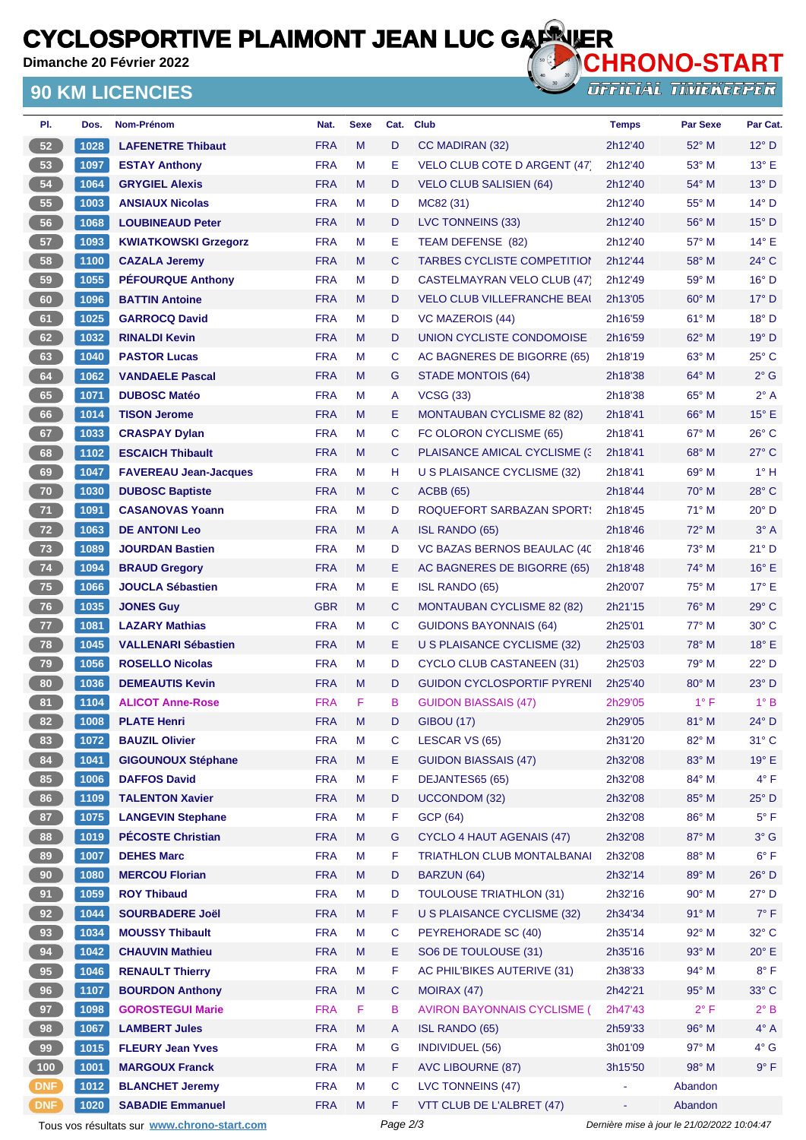### **CYCLOSPORTIVE PLAIMONT JEAN LUC GARRIER**<br>Dimanche 20 Février 2022

**Dimanche 20 Février 2022**

#### **90 KM LICENCIES**



**OFFICIAL TIMEKEEPER** 

| PI.             | Dos. | Nom-Prénom                                  | Nat.       | <b>Sexe</b> | Cat.     | <b>Club</b>                          | <b>Temps</b> | Par Sexe                                    | Par Cat.       |
|-----------------|------|---------------------------------------------|------------|-------------|----------|--------------------------------------|--------------|---------------------------------------------|----------------|
| 52              | 1028 | <b>LAFENETRE Thibaut</b>                    | <b>FRA</b> | M           | D        | CC MADIRAN (32)                      | 2h12'40      | 52° M                                       | $12^{\circ}$ D |
| 53              | 1097 | <b>ESTAY Anthony</b>                        | <b>FRA</b> | М           | Ε        | <b>VELO CLUB COTE D ARGENT (47)</b>  | 2h12'40      | 53° M                                       | $13^{\circ}$ E |
| 54              | 1064 | <b>GRYGIEL Alexis</b>                       | <b>FRA</b> | M           | D        | <b>VELO CLUB SALISIEN (64)</b>       | 2h12'40      | 54° M                                       | $13^{\circ}$ D |
| 55              | 1003 | <b>ANSIAUX Nicolas</b>                      | <b>FRA</b> | М           | D        | MC82 (31)                            | 2h12'40      | $55^{\circ}$ M                              | $14^{\circ}$ D |
| 56              | 1068 | <b>LOUBINEAUD Peter</b>                     | <b>FRA</b> | M           | D        | LVC TONNEINS (33)                    | 2h12'40      | $56^{\circ}$ M                              | $15^{\circ}$ D |
| 57              | 1093 | <b>KWIATKOWSKI Grzegorz</b>                 | <b>FRA</b> | М           | Е        | TEAM DEFENSE (82)                    | 2h12'40      | 57° M                                       | $14^{\circ}$ E |
| 58              | 1100 | <b>CAZALA Jeremy</b>                        | <b>FRA</b> | M           | C        | <b>TARBES CYCLISTE COMPETITION</b>   | 2h12'44      | 58° M                                       | $24^{\circ}$ C |
| 59              | 1055 | <b>PÉFOURQUE Anthony</b>                    | <b>FRA</b> | М           | D        | <b>CASTELMAYRAN VELO CLUB (47)</b>   | 2h12'49      | 59° M                                       | $16^{\circ}$ D |
| 60              | 1096 | <b>BATTIN Antoine</b>                       | <b>FRA</b> | M           | D        | <b>VELO CLUB VILLEFRANCHE BEAI</b>   | 2h13'05      | $60^\circ$ M                                | $17^\circ$ D   |
| 61              | 1025 | <b>GARROCQ David</b>                        | <b>FRA</b> | M           | D        | <b>VC MAZEROIS (44)</b>              | 2h16'59      | 61° M                                       | $18°$ D        |
| 62              | 1032 | <b>RINALDI Kevin</b>                        | <b>FRA</b> | M           | D        | UNION CYCLISTE CONDOMOISE            | 2h16'59      | $62^{\circ}$ M                              | $19°$ D        |
| 63              | 1040 | <b>PASTOR Lucas</b>                         | <b>FRA</b> | М           | C        | AC BAGNERES DE BIGORRE (65)          | 2h18'19      | 63° M                                       | $25^{\circ}$ C |
| 64              | 1062 | <b>VANDAELE Pascal</b>                      | <b>FRA</b> | M           | G        | <b>STADE MONTOIS (64)</b>            | 2h18'38      | $64^{\circ}$ M                              | $2^{\circ}$ G  |
| 65              | 1071 | <b>DUBOSC Matéo</b>                         | <b>FRA</b> | М           | A        | <b>VCSG (33)</b>                     | 2h18'38      | $65^{\circ}$ M                              | $2^{\circ}$ A  |
| 66              | 1014 | <b>TISON Jerome</b>                         | <b>FRA</b> | M           | Е        | <b>MONTAUBAN CYCLISME 82 (82)</b>    | 2h18'41      | $66^{\circ}$ M                              | $15^{\circ}$ E |
| 67              | 1033 | <b>CRASPAY Dylan</b>                        | <b>FRA</b> | М           | С        | FC OLORON CYCLISME (65)              | 2h18'41      | $67^\circ$ M                                | $26^{\circ}$ C |
| 68              | 1102 | <b>ESCAICH Thibault</b>                     | <b>FRA</b> | M           | C        | <b>PLAISANCE AMICAL CYCLISME (3)</b> | 2h18'41      | $68^\circ$ M                                | $27^{\circ}$ C |
| 69              | 1047 | <b>FAVEREAU Jean-Jacques</b>                | <b>FRA</b> | М           | н        | U S PLAISANCE CYCLISME (32)          | 2h18'41      | 69° M                                       | $1^\circ$ H    |
| 70              | 1030 | <b>DUBOSC Baptiste</b>                      | <b>FRA</b> | M           | C        | <b>ACBB</b> (65)                     | 2h18'44      | $70^\circ$ M                                | 28° C          |
| 71              | 1091 | <b>CASANOVAS Yoann</b>                      | <b>FRA</b> | М           | D        | <b>ROQUEFORT SARBAZAN SPORT:</b>     | 2h18'45      | $71^\circ$ M                                | $20^{\circ}$ D |
| 72              | 1063 | <b>DE ANTONI Leo</b>                        | <b>FRA</b> | M           | A        | <b>ISL RANDO (65)</b>                | 2h18'46      | $72^{\circ}$ M                              | $3^\circ A$    |
| 73              | 1089 | <b>JOURDAN Bastien</b>                      | <b>FRA</b> | М           | D        | VC BAZAS BERNOS BEAULAC (40          | 2h18'46      | $73^\circ$ M                                | 21° D          |
| 74              | 1094 | <b>BRAUD Gregory</b>                        | <b>FRA</b> | M           | Е        | AC BAGNERES DE BIGORRE (65)          | 2h18'48      | 74° M                                       | 16° E          |
| 75              | 1066 | <b>JOUCLA Sébastien</b>                     | <b>FRA</b> | М           | Е        | ISL RANDO (65)                       | 2h20'07      | 75° M                                       | $17^\circ$ E   |
| 76              | 1035 | <b>JONES Guy</b>                            | <b>GBR</b> | M           | C        | <b>MONTAUBAN CYCLISME 82 (82)</b>    | 2h21'15      | $76^{\circ}$ M                              | $29^{\circ}$ C |
| $77$            | 1081 | <b>LAZARY Mathias</b>                       | <b>FRA</b> | М           | С        | <b>GUIDONS BAYONNAIS (64)</b>        | 2h25'01      | 77° M                                       | $30^{\circ}$ C |
| 78              | 1045 | <b>VALLENARI Sébastien</b>                  | <b>FRA</b> | M           | Е        | U S PLAISANCE CYCLISME (32)          | 2h25'03      | 78° M                                       | 18° E          |
| 79              | 1056 | <b>ROSELLO Nicolas</b>                      | <b>FRA</b> | М           | D        | CYCLO CLUB CASTANEEN (31)            | 2h25'03      | 79° M                                       | $22^{\circ}$ D |
| 80              | 1036 | <b>DEMEAUTIS Kevin</b>                      | <b>FRA</b> | M           | D        | <b>GUIDON CYCLOSPORTIF PYRENI</b>    | 2h25'40      | $80^\circ$ M                                | $23^{\circ}$ D |
| 81              | 1104 | <b>ALICOT Anne-Rose</b>                     | <b>FRA</b> | F           | в        | <b>GUIDON BIASSAIS (47)</b>          | 2h29'05      | $1^{\circ}$ F                               | $1^\circ B$    |
| 82              | 1008 | <b>PLATE Henri</b>                          | <b>FRA</b> | M           | D        | <b>GIBOU (17)</b>                    | 2h29'05      | 81° M                                       | $24^{\circ}$ D |
| 83              | 1072 | <b>BAUZIL Olivier</b>                       | <b>FRA</b> | M           | С        | LESCAR VS (65)                       | 2h31'20      | 82° M                                       | $31^{\circ}$ C |
| 84              | 1041 | <b>GIGOUNOUX Stéphane</b>                   | <b>FRA</b> | M           | E.       | <b>GUIDON BIASSAIS (47)</b>          | 2h32'08      | 83° M                                       | $19^{\circ}$ E |
| 85              | 1006 | <b>DAFFOS David</b>                         | <b>FRA</b> | M           | F        | DEJANTES65 (65)                      | 2h32'08      | 84° M                                       | $4^{\circ}$ F  |
| 86              | 1109 | <b>TALENTON Xavier</b>                      | <b>FRA</b> | M           | D        | <b>UCCONDOM (32)</b>                 | 2h32'08      | 85° M                                       | $25^{\circ}$ D |
| 87              | 1075 | <b>LANGEVIN Stephane</b>                    | <b>FRA</b> | М           | F        | <b>GCP (64)</b>                      | 2h32'08      | 86° M                                       | $5^{\circ}$ F  |
| 88              | 1019 | <b>PÉCOSTE Christian</b>                    | <b>FRA</b> | M           | G        | <b>CYCLO 4 HAUT AGENAIS (47)</b>     | 2h32'08      | 87° M                                       | $3^\circ$ G    |
| 89              | 1007 | <b>DEHES Marc</b>                           | <b>FRA</b> | M           | F        | <b>TRIATHLON CLUB MONTALBANAI</b>    | 2h32'08      | 88° M                                       | $6^{\circ}$ F  |
| 90 <sub>o</sub> | 1080 | <b>MERCOU Florian</b>                       | <b>FRA</b> | M           | D        | BARZUN (64)                          | 2h32'14      | 89° M                                       | $26^{\circ}$ D |
| 91              | 1059 | <b>ROY Thibaud</b>                          | <b>FRA</b> | М           | D        | <b>TOULOUSE TRIATHLON (31)</b>       | 2h32'16      | 90° M                                       | $27^{\circ}$ D |
| 92              | 1044 | <b>SOURBADERE Joël</b>                      | <b>FRA</b> | M           | F        | U S PLAISANCE CYCLISME (32)          | 2h34'34      | 91° M                                       | $7^\circ$ F    |
| 93              | 1034 | <b>MOUSSY Thibault</b>                      | <b>FRA</b> | M           | C        | PEYREHORADE SC (40)                  | 2h35'14      | 92° M                                       | $32^{\circ}$ C |
| 94              | 1042 | <b>CHAUVIN Mathieu</b>                      | <b>FRA</b> | M           | Е        | SO6 DE TOULOUSE (31)                 | 2h35'16      | 93° M                                       | $20^{\circ}$ E |
| 95              | 1046 | <b>RENAULT Thierry</b>                      | <b>FRA</b> | М           | F        | AC PHIL'BIKES AUTERIVE (31)          | 2h38'33      | 94° M                                       | $8^{\circ}$ F  |
| 96              | 1107 | <b>BOURDON Anthony</b>                      | <b>FRA</b> | M           | C        | MOIRAX (47)                          | 2h42'21      | 95° M                                       | $33^{\circ}$ C |
| 97              | 1098 | <b>GOROSTEGUI Marie</b>                     | <b>FRA</b> | F           | в        | <b>AVIRON BAYONNAIS CYCLISME (</b>   | 2h47'43      | $2^{\circ}$ F                               | $2^{\circ}$ B  |
| 98              | 1067 | <b>LAMBERT Jules</b>                        | <b>FRA</b> | M           | A        | <b>ISL RANDO (65)</b>                | 2h59'33      | 96° M                                       | $4^\circ A$    |
| 99              | 1015 | <b>FLEURY Jean Yves</b>                     | <b>FRA</b> | M           | G        | <b>INDIVIDUEL (56)</b>               | 3h01'09      | 97° M                                       | $4^\circ$ G    |
| 100             | 1001 | <b>MARGOUX Franck</b>                       | <b>FRA</b> | M           | F        | <b>AVC LIBOURNE (87)</b>             | 3h15'50      | 98° M                                       | $9^{\circ}$ F  |
| <b>DNF</b>      | 1012 | <b>BLANCHET Jeremy</b>                      | <b>FRA</b> | М           | C        | LVC TONNEINS (47)                    |              | Abandon                                     |                |
| <b>DNF</b>      | 1020 | <b>SABADIE Emmanuel</b>                     | <b>FRA</b> | M           | F        | VTT CLUB DE L'ALBRET (47)            | ÷,           | Abandon                                     |                |
|                 |      | Tous vos résultats sur www.chrono-start.com |            |             | Page 2/3 |                                      |              | Dernière mise à jour le 21/02/2022 10:04:47 |                |